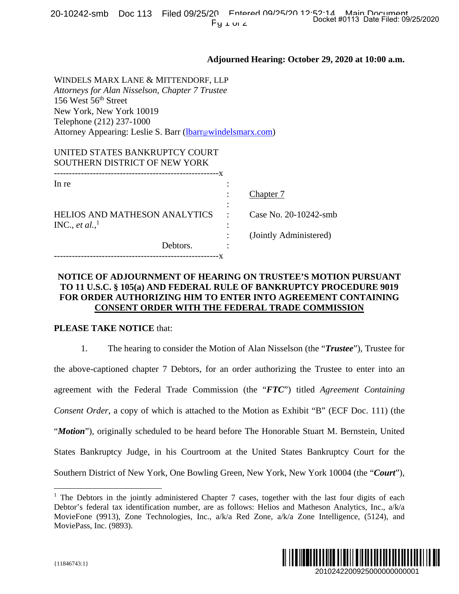## **Adjourned Hearing: October 29, 2020 at 10:00 a.m.**

WINDELS MARX LANE & MITTENDORF, LLP *Attorneys for Alan Nisselson, Chapter 7 Trustee* 156 West 56th Street New York, New York 10019 Telephone (212) 237-1000 Attorney Appearing: Leslie S. Barr (lbarr@windelsmarx.com)

| UNITED STATES BANKRUPTCY COURT<br>SOUTHERN DISTRICT OF NEW YORK |          |                        |
|-----------------------------------------------------------------|----------|------------------------|
| In re                                                           |          | Chapter 7              |
| <b>HELIOS AND MATHESON ANALYTICS</b>                            |          | Case No. 20-10242-smb  |
| INC., et al., $^1$                                              | Debtors. | (Jointly Administered) |
|                                                                 |          |                        |

## **NOTICE OF ADJOURNMENT OF HEARING ON TRUSTEE'S MOTION PURSUANT TO 11 U.S.C. § 105(a) AND FEDERAL RULE OF BANKRUPTCY PROCEDURE 9019 FOR ORDER AUTHORIZING HIM TO ENTER INTO AGREEMENT CONTAINING CONSENT ORDER WITH THE FEDERAL TRADE COMMISSION**

## **PLEASE TAKE NOTICE** that:

1. The hearing to consider the Motion of Alan Nisselson (the "*Trustee*"), Trustee for the above-captioned chapter 7 Debtors, for an order authorizing the Trustee to enter into an agreement with the Federal Trade Commission (the "*FTC*") titled *Agreement Containing Consent Order*, a copy of which is attached to the Motion as Exhibit "B" (ECF Doc. 111) (the "*Motion*"), originally scheduled to be heard before The Honorable Stuart M. Bernstein, United States Bankruptcy Judge, in his Courtroom at the United States Bankruptcy Court for the Southern District of New York, One Bowling Green, New York, New York 10004 (the "*Court*"), Docket #0113 Date Filed: 09/25/2020<br>
21<br>
22, 2020 at 10:00 a.m.<br>
22, 2020 at 10:00 a.m.<br>
22-smb<br>
22-smb<br>
22-smb<br>
22-smb<br>
22, 2020 at 10:00 a.m.<br>
22, 2020 at 10:00 a.m.<br>
22, 2020 at 2020 a.m.<br>
22, 20102422009250000000000000

<sup>&</sup>lt;sup>1</sup> The Debtors in the jointly administered Chapter 7 cases, together with the last four digits of each Debtor's federal tax identification number, are as follows: Helios and Matheson Analytics, Inc., a/k/a MovieFone (9913), Zone Technologies, Inc., a/k/a Red Zone, a/k/a Zone Intelligence, (5124), and MoviePass, Inc. (9893).



1